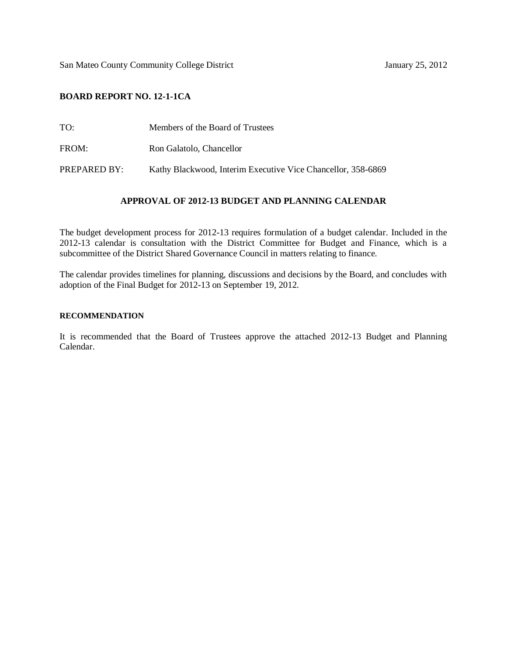San Mateo County Community College District January 25, 2012

## **BOARD REPORT NO. 12-1-1CA**

- TO: Members of the Board of Trustees
- FROM: Ron Galatolo, Chancellor

PREPARED BY: Kathy Blackwood, Interim Executive Vice Chancellor, 358-6869

## **APPROVAL OF 2012-13 BUDGET AND PLANNING CALENDAR**

The budget development process for 2012-13 requires formulation of a budget calendar. Included in the 2012-13 calendar is consultation with the District Committee for Budget and Finance, which is a subcommittee of the District Shared Governance Council in matters relating to finance.

The calendar provides timelines for planning, discussions and decisions by the Board, and concludes with adoption of the Final Budget for 2012-13 on September 19, 2012.

## **RECOMMENDATION**

It is recommended that the Board of Trustees approve the attached 2012-13 Budget and Planning Calendar.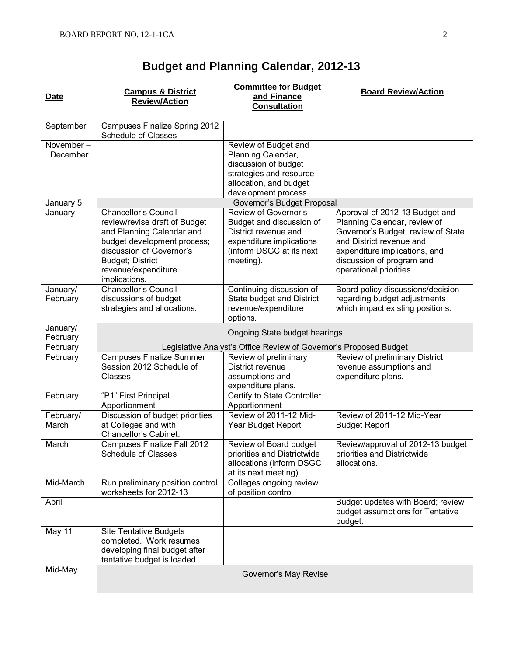## **Budget and Planning Calendar, 2012-13**

**Date Campus & District Review/Action Committee for Budget and Finance Consultation Board Review/Action**

| September             | Campuses Finalize Spring 2012                                                                                                                                                                                           |                                                                                                                                               |                                                                                                                                                                                                                           |
|-----------------------|-------------------------------------------------------------------------------------------------------------------------------------------------------------------------------------------------------------------------|-----------------------------------------------------------------------------------------------------------------------------------------------|---------------------------------------------------------------------------------------------------------------------------------------------------------------------------------------------------------------------------|
|                       | <b>Schedule of Classes</b>                                                                                                                                                                                              |                                                                                                                                               |                                                                                                                                                                                                                           |
| November-<br>December |                                                                                                                                                                                                                         | Review of Budget and<br>Planning Calendar,<br>discussion of budget<br>strategies and resource                                                 |                                                                                                                                                                                                                           |
|                       |                                                                                                                                                                                                                         | allocation, and budget                                                                                                                        |                                                                                                                                                                                                                           |
|                       |                                                                                                                                                                                                                         | development process                                                                                                                           |                                                                                                                                                                                                                           |
| January 5             | Governor's Budget Proposal                                                                                                                                                                                              |                                                                                                                                               |                                                                                                                                                                                                                           |
| January               | <b>Chancellor's Council</b><br>review/revise draft of Budget<br>and Planning Calendar and<br>budget development process;<br>discussion of Governor's<br><b>Budget; District</b><br>revenue/expenditure<br>implications. | Review of Governor's<br>Budget and discussion of<br>District revenue and<br>expenditure implications<br>(inform DSGC at its next<br>meeting). | Approval of 2012-13 Budget and<br>Planning Calendar, review of<br>Governor's Budget, review of State<br>and District revenue and<br>expenditure implications, and<br>discussion of program and<br>operational priorities. |
| January/<br>February  | <b>Chancellor's Council</b><br>discussions of budget<br>strategies and allocations.                                                                                                                                     | Continuing discussion of<br>State budget and District<br>revenue/expenditure<br>options.                                                      | Board policy discussions/decision<br>regarding budget adjustments<br>which impact existing positions.                                                                                                                     |
| January/<br>February  | Ongoing State budget hearings                                                                                                                                                                                           |                                                                                                                                               |                                                                                                                                                                                                                           |
| February              | Legislative Analyst's Office Review of Governor's Proposed Budget                                                                                                                                                       |                                                                                                                                               |                                                                                                                                                                                                                           |
| February              | <b>Campuses Finalize Summer</b><br>Session 2012 Schedule of<br>Classes                                                                                                                                                  | Review of preliminary<br>District revenue<br>assumptions and<br>expenditure plans.                                                            | Review of preliminary District<br>revenue assumptions and<br>expenditure plans.                                                                                                                                           |
| February              | "P1" First Principal<br>Apportionment                                                                                                                                                                                   | Certify to State Controller<br>Apportionment                                                                                                  |                                                                                                                                                                                                                           |
| February/<br>March    | Discussion of budget priorities<br>at Colleges and with<br>Chancellor's Cabinet.                                                                                                                                        | Review of 2011-12 Mid-<br>Year Budget Report                                                                                                  | Review of 2011-12 Mid-Year<br><b>Budget Report</b>                                                                                                                                                                        |
| March                 | Campuses Finalize Fall 2012<br><b>Schedule of Classes</b>                                                                                                                                                               | Review of Board budget<br>priorities and Districtwide<br>allocations (inform DSGC<br>at its next meeting).                                    | Review/approval of 2012-13 budget<br>priorities and Districtwide<br>allocations.                                                                                                                                          |
| Mid-March             | Run preliminary position control<br>worksheets for 2012-13                                                                                                                                                              | Colleges ongoing review<br>of position control                                                                                                |                                                                                                                                                                                                                           |
| April                 |                                                                                                                                                                                                                         |                                                                                                                                               | Budget updates with Board; review<br>budget assumptions for Tentative<br>budget.                                                                                                                                          |
| May 11                | <b>Site Tentative Budgets</b><br>completed. Work resumes<br>developing final budget after<br>tentative budget is loaded.                                                                                                |                                                                                                                                               |                                                                                                                                                                                                                           |
| Mid-May               | Governor's May Revise                                                                                                                                                                                                   |                                                                                                                                               |                                                                                                                                                                                                                           |